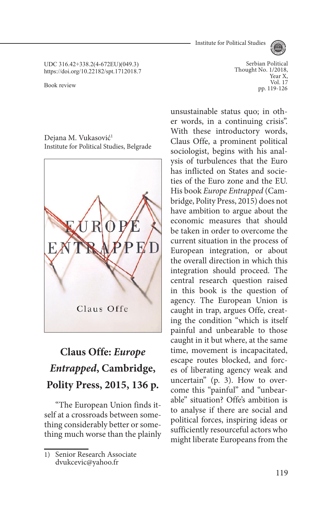Institute for Political Studies



UDC 316.42+338.2(4-672EU)(049.3) https://doi.org/10.22182/spt.1712018.7

Dejana M. Vukasović<sup>1</sup> Institute for Political Studies, Belgrade



# **Claus Offe:** *Europe Entrapped***, Cambridge, Polity Press, 2015, 136 p.**

"The European Union finds itself at a crossroads between something considerably better or something much worse than the plainly

Serbian Political Thought No. 1/2018, Year X, Vol. 17<br>pp. 119-126 Book review pp. 119-126

> unsustainable status quo; in other words, in a continuing crisis". With these introductory words, Claus Offe, a prominent political sociologist, begins with his analysis of turbulences that the Euro has inflicted on States and societies of the Euro zone and the EU. His book *Europe Entrapped* (Cambridge, Polity Press, 2015) does not have ambition to argue about the economic measures that should be taken in order to overcome the current situation in the process of European integration, or about the overall direction in which this integration should proceed. The central research question raised in this book is the question of agency. The European Union is caught in trap, argues Offe, creating the condition "which is itself painful and unbearable to those caught in it but where, at the same time, movement is incapacitated, escape routes blocked, and forces of liberating agency weak and uncertain" (p. 3). How to overcome this "painful" and "unbearable" situation? Offe's ambition is to analyse if there are social and political forces, inspiring ideas or sufficiently resourceful actors who might liberate Europeans from the

<sup>1)</sup> Senior Research Associate dvukcevic@yahoo.fr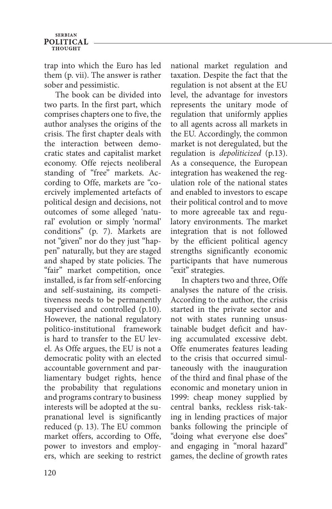#### **SERBIAN POLITICAL THOUCHT**

trap into which the Euro has led them (p. vii). The answer is rather sober and pessimistic.

The book can be divided into two parts. In the first part, which comprises chapters one to five, the author analyses the origins of the crisis. The first chapter deals with the interaction between democratic states and capitalist market economy. Offe rejects neoliberal standing of "free" markets. According to Offe, markets are "coercively implemented artefacts of political design and decisions, not outcomes of some alleged 'natural' evolution or simply 'normal' conditions" (p. 7). Markets are not "given" nor do they just "happen" naturally, but they are staged and shaped by state policies. The "fair" market competition, once installed, is far from self-enforcing and self-sustaining, its competitiveness needs to be permanently supervised and controlled (p.10). However, the national regulatory politico-institutional framework is hard to transfer to the EU level. As Offe argues, the EU is not a democratic polity with an elected accountable government and parliamentary budget rights, hence the probability that regulations and programs contrary to business interests will be adopted at the supranational level is significantly reduced (p. 13). The EU common market offers, according to Offe, power to investors and employers, which are seeking to restrict

national market regulation and taxation. Despite the fact that the regulation is not absent at the EU level, the advantage for investors represents the unitary mode of regulation that uniformly applies to all agents across all markets in the EU. Accordingly, the common market is not deregulated, but the regulation is *depoliticized* (p.13). As a consequence, the European integration has weakened the regulation role of the national states and enabled to investors to escape their political control and to move to more agreeable tax and regulatory environments. The market integration that is not followed by the efficient political agency strengths significantly economic participants that have numerous "exit" strategies.

In chapters two and three, Offe analyses the nature of the crisis. According to the author, the crisis started in the private sector and not with states running unsustainable budget deficit and having accumulated excessive debt. Offe enumerates features leading to the crisis that occurred simultaneously with the inauguration of the third and final phase of the economic and monetary union in 1999: cheap money supplied by central banks, reckless risk-taking in lending practices of major banks following the principle of "doing what everyone else does" and engaging in "moral hazard" games, the decline of growth rates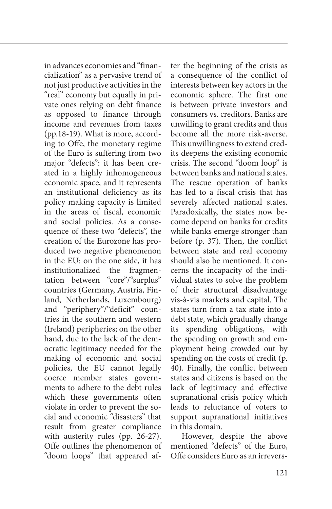in advances economies and "financialization" as a pervasive trend of not just productive activities in the "real" economy but equally in private ones relying on debt finance as opposed to finance through income and revenues from taxes (pp.18-19). What is more, according to Offe, the monetary regime of the Euro is suffering from two major "defects": it has been created in a highly inhomogeneous economic space, and it represents an institutional deficiency as its policy making capacity is limited in the areas of fiscal, economic and social policies. As a consequence of these two "defects", the creation of the Eurozone has produced two negative phenomenon in the EU: on the one side, it has institutionalized the fragmentation between "core"/"surplus" countries (Germany, Austria, Finland, Netherlands, Luxembourg) and "periphery"/"deficit" countries in the southern and western (Ireland) peripheries; on the other hand, due to the lack of the democratic legitimacy needed for the making of economic and social policies, the EU cannot legally coerce member states governments to adhere to the debt rules which these governments often violate in order to prevent the social and economic "disasters" that result from greater compliance with austerity rules (pp. 26-27). Offe outlines the phenomenon of "doom loops" that appeared after the beginning of the crisis as a consequence of the conflict of interests between key actors in the economic sphere. The first one is between private investors and consumers vs. creditors. Banks are unwilling to grant credits and thus become all the more risk-averse. This unwillingness to extend credits deepens the existing economic crisis. The second "doom loop" is between banks and national states. The rescue operation of banks has led to a fiscal crisis that has severely affected national states. Paradoxically, the states now become depend on banks for credits while banks emerge stronger than before (p. 37). Then, the conflict between state and real economy should also be mentioned. It concerns the incapacity of the individual states to solve the problem of their structural disadvantage vis-à-vis markets and capital. The states turn from a tax state into a debt state, which gradually change its spending obligations, with the spending on growth and employment being crowded out by spending on the costs of credit (p. 40). Finally, the conflict between states and citizens is based on the lack of legitimacy and effective supranational crisis policy which leads to reluctance of voters to support supranational initiatives in this domain.

However, despite the above mentioned "defects" of the Euro, Offe considers Euro as an irrevers-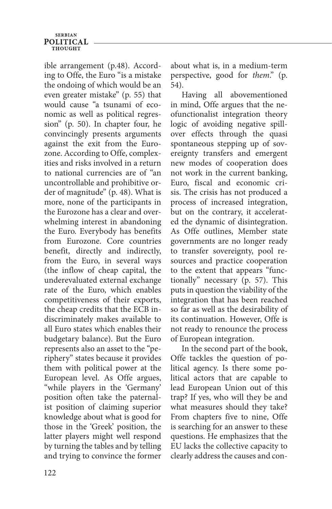## **SERBIAN POLITICAL** THOUGHT

ible arrangement (p.48). According to Offe, the Euro "is a mistake the ondoing of which would be an even greater mistake" (p. 55) that would cause "a tsunami of economic as well as political regression" (p. 50). In chapter four, he convincingly presents arguments against the exit from the Eurozone. According to Offe, complexities and risks involved in a return to national currencies are of "an uncontrollable and prohibitive order of magnitude" (p. 48). What is more, none of the participants in the Eurozone has a clear and overwhelming interest in abandoning the Euro. Everybody has benefits from Eurozone. Core countries benefit, directly and indirectly, from the Euro, in several ways (the inflow of cheap capital, the underevaluated external exchange rate of the Euro, which enables competitiveness of their exports, the cheap credits that the ECB indiscriminately makes available to all Euro states which enables their budgetary balance). But the Euro represents also an asset to the "periphery" states because it provides them with political power at the European level. As Offe argues, "while players in the 'Germany' position often take the paternalist position of claiming superior knowledge about what is good for those in the 'Greek' position, the latter players might well respond by turning the tables and by telling and trying to convince the former about what is, in a medium-term perspective, good for *them*." (p. 54).

Having all abovementioned in mind, Offe argues that the neofunctionalist integration theory logic of avoiding negative spillover effects through the quasi spontaneous stepping up of sovereignty transfers and emergent new modes of cooperation does not work in the current banking, Euro, fiscal and economic crisis. The crisis has not produced a process of increased integration, but on the contrary, it accelerated the dynamic of disintegration. As Offe outlines, Member state governments are no longer ready to transfer sovereignty, pool resources and practice cooperation to the extent that appears "functionally" necessary (p. 57). This puts in question the viability of the integration that has been reached so far as well as the desirability of its continuation. However, Offe is not ready to renounce the process of European integration.

In the second part of the book, Offe tackles the question of political agency. Is there some political actors that are capable to lead European Union out of this trap? If yes, who will they be and what measures should they take? From chapters five to nine, Offe is searching for an answer to these questions. He emphasizes that the EU lacks the collective capacity to clearly address the causes and con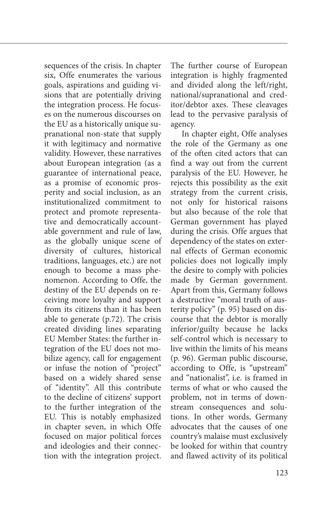sequences of the crisis. In chapter six, Offe enumerates the various goals, aspirations and guiding visions that are potentially driving the integration process. He focuses on the numerous discourses on the EU as a historically unique supranational non-state that supply it with legitimacy and normative validity. However, these narratives about European integration (as a guarantee of international peace, as a promise of economic prosperity and social inclusion, as an institutionalized commitment to protect and promote representative and democratically accountable government and rule of law, as the globally unique scene of diversity of cultures, historical traditions, languages, etc.) are not enough to become a mass phenomenon. According to Offe, the destiny of the EU depends on receiving more loyalty and support from its citizens than it has been able to generate (p.72). The crisis created dividing lines separating EU Member States: the further integration of the EU does not mobilize agency, call for engagement or infuse the notion of "project" based on a widely shared sense of "identity". All this contribute to the decline of citizens' support to the further integration of the EU. This is notably emphasized in chapter seven, in which Offe focused on major political forces and ideologies and their connection with the integration project.

The further course of European integration is highly fragmented and divided along the left/right, national/supranational and creditor/debtor axes. These cleavages lead to the pervasive paralysis of agency.

In chapter eight, Offe analyses the role of the Germany as one of the often cited actors that can find a way out from the current paralysis of the EU. However, he rejects this possibility as the exit strategy from the current crisis, not only for historical raisons but also because of the role that German government has played during the crisis. Offe argues that dependency of the states on external effects of German economic policies does not logically imply the desire to comply with policies made by German government. Apart from this, Germany follows a destructive "moral truth of austerity policy" (p. 95) based on discourse that the debtor is morally inferior/guilty because he lacks self-control which is necessary to live within the limits of his means (p. 96). German public discourse, according to Offe, is "upstream" and "nationalist", i.e. is framed in terms of what or who caused the problem, not in terms of downstream consequences and solutions. In other words, Germany advocates that the causes of one country's malaise must exclusively be looked for within that country and flawed activity of its political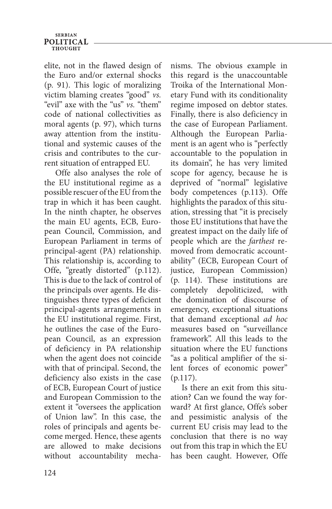### **SERBIAN POLITICAL THOUCHT**

elite, not in the flawed design of the Euro and/or external shocks (p. 91). This logic of moralizing victim blaming creates "good" *vs.* "evil" axe with the "us" *vs.* "them" code of national collectivities as moral agents (p. 97), which turns away attention from the institutional and systemic causes of the crisis and contributes to the current situation of entrapped EU.

Offe also analyses the role of the EU institutional regime as a possible rescuer of the EU from the trap in which it has been caught. In the ninth chapter, he observes the main EU agents, ECB, European Council, Commission, and European Parliament in terms of principal-agent (PA) relationship. This relationship is, according to Offe, "greatly distorted" (p.112). This is due to the lack of control of the principals over agents. He distinguishes three types of deficient principal-agents arrangements in the EU institutional regime. First, he outlines the case of the European Council, as an expression of deficiency in PA relationship when the agent does not coincide with that of principal. Second, the deficiency also exists in the case of ECB, European Court of justice and European Commission to the extent it "oversees the application of Union law". In this case, the roles of principals and agents become merged. Hence, these agents are allowed to make decisions without accountability mechanisms. The obvious example in this regard is the unaccountable Troika of the International Monetary Fund with its conditionality regime imposed on debtor states. Finally, there is also deficiency in the case of European Parliament. Although the European Parliament is an agent who is "perfectly accountable to the population in its domain", he has very limited scope for agency, because he is deprived of "normal" legislative body competences (p.113). Offe highlights the paradox of this situation, stressing that "it is precisely those EU institutions that have the greatest impact on the daily life of people which are the *farthest* removed from democratic accountability" (ECB, European Court of justice, European Commission) (p. 114). These institutions are completely depoliticized, with the domination of discourse of emergency, exceptional situations that demand exceptional *ad hoc* measures based on "surveillance framework". All this leads to the situation where the EU functions "as a political amplifier of the silent forces of economic power" (p.117).

Is there an exit from this situation? Can we found the way forward? At first glance, Offe's sober and pessimistic analysis of the current EU crisis may lead to the conclusion that there is no way out from this trap in which the EU has been caught. However, Offe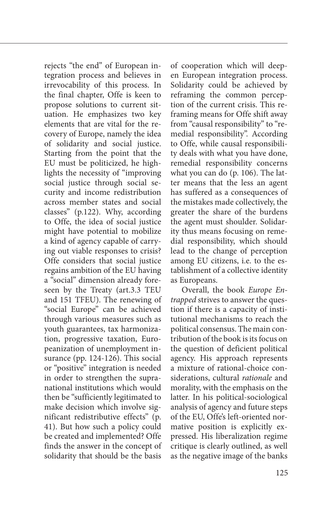rejects "the end" of European integration process and believes in irrevocability of this process. In the final chapter, Offe is keen to propose solutions to current situation. He emphasizes two key elements that are vital for the recovery of Europe, namely the idea of solidarity and social justice. Starting from the point that the EU must be politicized, he highlights the necessity of "improving social justice through social security and income redistribution across member states and social classes" (p.122). Why, according to Offe, the idea of social justice might have potential to mobilize a kind of agency capable of carrying out viable responses to crisis? Offe considers that social justice regains ambition of the EU having a "social" dimension already foreseen by the Treaty (art.3.3 TEU and 151 TFEU). The renewing of "social Europe" can be achieved through various measures such as youth guarantees, tax harmonization, progressive taxation, Europeanization of unemployment insurance (pp. 124-126). This social or "positive" integration is needed in order to strengthen the supranational institutions which would then be "sufficiently legitimated to make decision which involve significant redistributive effects" (p. 41). But how such a policy could be created and implemented? Offe finds the answer in the concept of solidarity that should be the basis of cooperation which will deepen European integration process. Solidarity could be achieved by reframing the common perception of the current crisis. This reframing means for Offe shift away from "causal responsibility" to "remedial responsibility". According to Offe, while causal responsibility deals with what you have done, remedial responsibility concerns what you can do (p. 106). The latter means that the less an agent has suffered as a consequences of the mistakes made collectively, the greater the share of the burdens the agent must shoulder. Solidarity thus means focusing on remedial responsibility, which should lead to the change of perception among EU citizens, i.e. to the establishment of a collective identity as Europeans.

Overall, the book *Europe Entrapped* strives to answer the question if there is a capacity of institutional mechanisms to reach the political consensus. The main contribution of the book is its focus on the question of deficient political agency. His approach represents a mixture of rational-choice considerations, cultural *rationale* and morality, with the emphasis on the latter. In his political-sociological analysis of agency and future steps of the EU, Offe's left-oriented normative position is explicitly expressed. His liberalization regime critique is clearly outlined, as well as the negative image of the banks